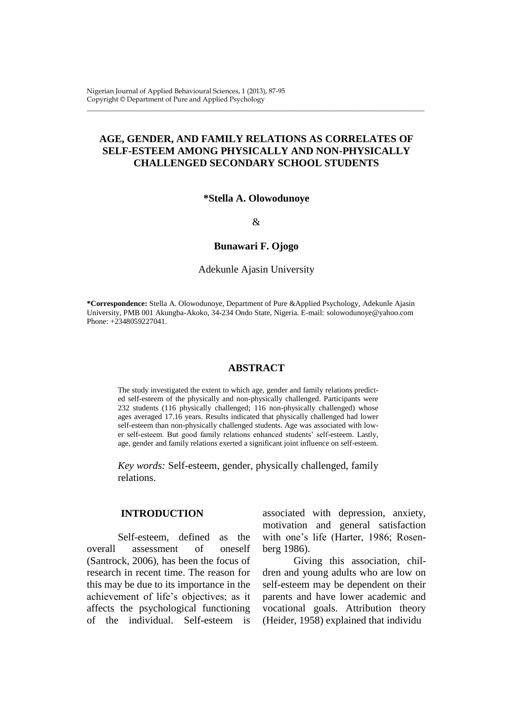# **AGE, GENDER, AND FAMILY RELATIONS AS CORRELATES OF SELF-ESTEEM AMONG PHYSICALLY AND NON-PHYSICALLY CHALLENGED SECONDARY SCHOOL STUDENTS**

\_\_\_\_\_\_\_\_\_\_\_\_\_\_\_\_\_\_\_\_\_\_\_\_\_\_\_\_\_\_\_\_\_\_\_\_\_\_\_\_\_\_\_\_\_\_\_\_\_\_\_\_\_\_\_\_\_\_\_\_\_\_\_\_\_\_\_\_\_\_\_\_\_\_\_\_\_\_\_\_\_\_\_\_\_\_\_\_\_\_\_\_\_\_\_\_\_\_

### **\*Stella A. Olowodunoye**

&

#### **Bunawari F. Ojogo**

Adekunle Ajasin University

**\*Correspondence:** Stella A. Olowodunoye, Department of Pure &Applied Psychology, Adekunle Ajasin University, PMB 001 Akungba-Akoko, 34-234 Ondo State, Nigeria. E-mail: [solowodunoye@yahoo.com](mailto:solowodunoye@yahoo.com) Phone: +2348059227041.

### **ABSTRACT**

The study investigated the extent to which age, gender and family relations predicted self-esteem of the physically and non-physically challenged. Participants were 232 students (116 physically challenged; 116 non-physically challenged) whose ages averaged 17.16 years. Results indicated that physically challenged had lower self-esteem than non-physically challenged students. Age was associated with lower self-esteem. But good family relations enhanced students' self-esteem. Lastly, age, gender and family relations exerted a significant joint influence on self-esteem.

*Key words:* Self-esteem, gender, physically challenged, family relations.

### **INTRODUCTION**

Self-esteem, defined as the overall assessment of oneself (Santrock, 2006), has been the focus of research in recent time. The reason for this may be due to its importance in the achievement of life's objectives; as it affects the psychological functioning of the individual. Self-esteem is

associated with depression, anxiety, motivation and general satisfaction with one's life (Harter, 1986; Rosenberg 1986).

Giving this association, children and young adults who are low on self-esteem may be dependent on their parents and have lower academic and vocational goals. Attribution theory (Heider, 1958) explained that individu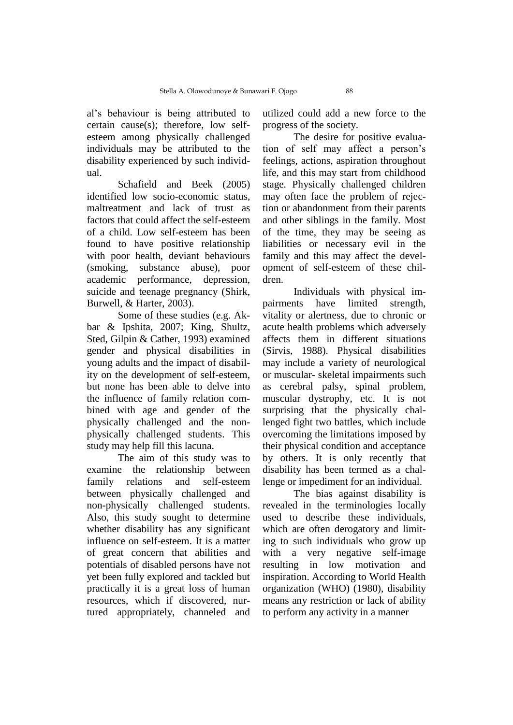al's behaviour is being attributed to certain cause(s); therefore, low selfesteem among physically challenged individuals may be attributed to the disability experienced by such individual.

Schafield and Beek (2005) identified low socio-economic status, maltreatment and lack of trust as factors that could affect the self-esteem of a child. Low self-esteem has been found to have positive relationship with poor health, deviant behaviours (smoking, substance abuse), poor academic performance, depression, suicide and teenage pregnancy (Shirk, Burwell, & Harter, 2003).

Some of these studies (e.g. Akbar & Ipshita, 2007; King, Shultz, Sted, Gilpin & Cather, 1993) examined gender and physical disabilities in young adults and the impact of disability on the development of self-esteem, but none has been able to delve into the influence of family relation combined with age and gender of the physically challenged and the nonphysically challenged students. This study may help fill this lacuna.

The aim of this study was to examine the relationship between family relations and self-esteem between physically challenged and non-physically challenged students. Also, this study sought to determine whether disability has any significant influence on self-esteem. It is a matter of great concern that abilities and potentials of disabled persons have not yet been fully explored and tackled but practically it is a great loss of human resources, which if discovered, nurtured appropriately, channeled and

utilized could add a new force to the progress of the society.

The desire for positive evaluation of self may affect a person's feelings, actions, aspiration throughout life, and this may start from childhood stage. Physically challenged children may often face the problem of rejection or abandonment from their parents and other siblings in the family. Most of the time, they may be seeing as liabilities or necessary evil in the family and this may affect the development of self-esteem of these children.

Individuals with physical impairments have limited strength, vitality or alertness, due to chronic or acute health problems which adversely affects them in different situations (Sirvis, 1988). Physical disabilities may include a variety of neurological or muscular- skeletal impairments such as cerebral palsy, spinal problem, muscular dystrophy, etc. It is not surprising that the physically challenged fight two battles, which include overcoming the limitations imposed by their physical condition and acceptance by others. It is only recently that disability has been termed as a challenge or impediment for an individual.

The bias against disability is revealed in the terminologies locally used to describe these individuals, which are often derogatory and limiting to such individuals who grow up with a very negative self-image resulting in low motivation and inspiration. According to World Health organization (WHO) (1980), disability means any restriction or lack of ability to perform any activity in a manner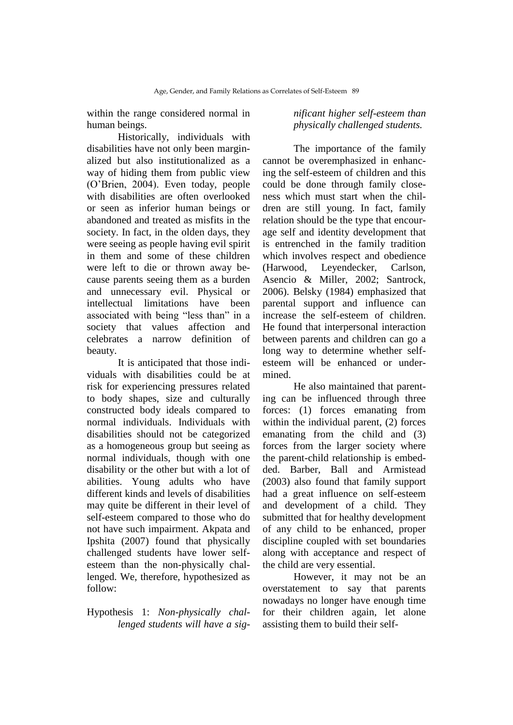within the range considered normal in human beings.

Historically, individuals with disabilities have not only been marginalized but also institutionalized as a way of hiding them from public view (O'Brien, 2004). Even today, people with disabilities are often overlooked or seen as inferior human beings or abandoned and treated as misfits in the society. In fact, in the olden days, they were seeing as people having evil spirit in them and some of these children were left to die or thrown away because parents seeing them as a burden and unnecessary evil. Physical or intellectual limitations have been associated with being "less than" in a society that values affection and celebrates a narrow definition of beauty.

It is anticipated that those individuals with disabilities could be at risk for experiencing pressures related to body shapes, size and culturally constructed body ideals compared to normal individuals. Individuals with disabilities should not be categorized as a homogeneous group but seeing as normal individuals, though with one disability or the other but with a lot of abilities. Young adults who have different kinds and levels of disabilities may quite be different in their level of self-esteem compared to those who do not have such impairment. Akpata and Ipshita (2007) found that physically challenged students have lower selfesteem than the non-physically challenged. We, therefore, hypothesized as follow:

## Hypothesis 1: *Non-physically challenged students will have a sig-*

## *nificant higher self-esteem than physically challenged students.*

The importance of the family cannot be overemphasized in enhancing the self-esteem of children and this could be done through family closeness which must start when the children are still young. In fact, family relation should be the type that encourage self and identity development that is entrenched in the family tradition which involves respect and obedience (Harwood, Leyendecker, Carlson, Asencio & Miller, 2002; Santrock, 2006). Belsky (1984) emphasized that parental support and influence can increase the self-esteem of children. He found that interpersonal interaction between parents and children can go a long way to determine whether selfesteem will be enhanced or undermined.

He also maintained that parenting can be influenced through three forces: (1) forces emanating from within the individual parent, (2) forces emanating from the child and (3) forces from the larger society where the parent-child relationship is embedded. Barber, Ball and Armistead (2003) also found that family support had a great influence on self-esteem and development of a child. They submitted that for healthy development of any child to be enhanced, proper discipline coupled with set boundaries along with acceptance and respect of the child are very essential.

However, it may not be an overstatement to say that parents nowadays no longer have enough time for their children again, let alone assisting them to build their self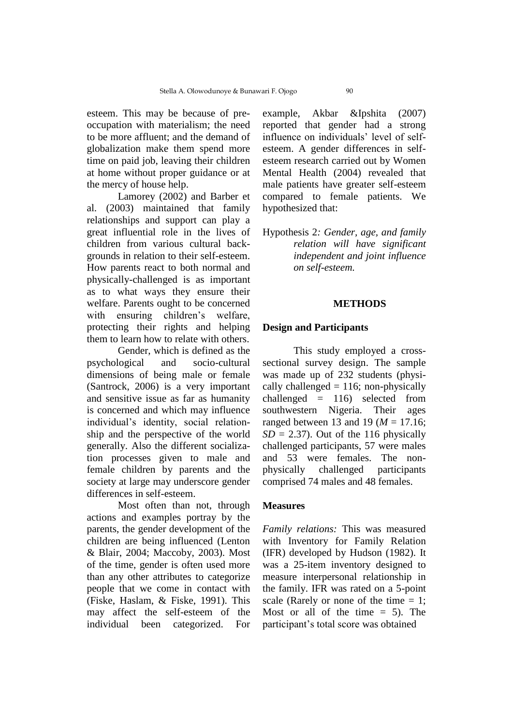esteem. This may be because of preoccupation with materialism; the need to be more affluent; and the demand of globalization make them spend more time on paid job, leaving their children at home without proper guidance or at the mercy of house help.

Lamorey (2002) and Barber et al. (2003) maintained that family relationships and support can play a great influential role in the lives of children from various cultural backgrounds in relation to their self-esteem. How parents react to both normal and physically-challenged is as important as to what ways they ensure their welfare. Parents ought to be concerned with ensuring children's welfare, protecting their rights and helping them to learn how to relate with others.

Gender, which is defined as the psychological and socio-cultural dimensions of being male or female (Santrock, 2006) is a very important and sensitive issue as far as humanity is concerned and which may influence individual's identity, social relationship and the perspective of the world generally. Also the different socialization processes given to male and female children by parents and the society at large may underscore gender differences in self-esteem.

Most often than not, through actions and examples portray by the parents, the gender development of the children are being influenced (Lenton & Blair, 2004; Maccoby, 2003). Most of the time, gender is often used more than any other attributes to categorize people that we come in contact with (Fiske, Haslam, & Fiske, 1991). This may affect the self-esteem of the individual been categorized. For

example, Akbar &Ipshita (2007) reported that gender had a strong influence on individuals' level of selfesteem. A gender differences in selfesteem research carried out by Women Mental Health (2004) revealed that male patients have greater self-esteem compared to female patients. We hypothesized that:

Hypothesis 2*: Gender, age, and family relation will have significant independent and joint influence on self-esteem.*

### **METHODS**

### **Design and Participants**

This study employed a crosssectional survey design. The sample was made up of 232 students (physically challenged  $= 116$ ; non-physically challenged = 116) selected from southwestern Nigeria. Their ages ranged between 13 and 19 (*M* = 17.16;  $SD = 2.37$ . Out of the 116 physically challenged participants, 57 were males and 53 were females. The nonphysically challenged participants comprised 74 males and 48 females.

## **Measures**

*Family relations:* This was measured with Inventory for Family Relation (IFR) developed by Hudson (1982). It was a 25-item inventory designed to measure interpersonal relationship in the family. IFR was rated on a 5-point scale (Rarely or none of the time  $= 1$ ; Most or all of the time  $= 5$ ). The participant's total score was obtained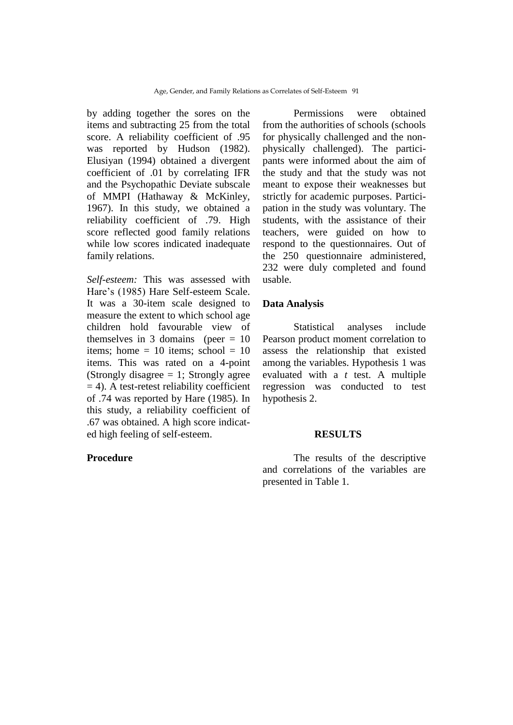by adding together the sores on the items and subtracting 25 from the total score. A reliability coefficient of .95 was reported by Hudson (1982). Elusiyan (1994) obtained a divergent coefficient of .01 by correlating IFR and the Psychopathic Deviate subscale of MMPI (Hathaway & McKinley, 1967). In this study, we obtained a reliability coefficient of .79. High score reflected good family relations while low scores indicated inadequate family relations.

*Self-esteem:* This was assessed with Hare's (1985) Hare Self-esteem Scale. It was a 30-item scale designed to measure the extent to which school age children hold favourable view of themselves in 3 domains (peer  $= 10$ ) items; home  $= 10$  items; school  $= 10$ items. This was rated on a 4-point (Strongly disagree  $= 1$ ; Strongly agree  $= 4$ ). A test-retest reliability coefficient of .74 was reported by Hare (1985). In this study, a reliability coefficient of .67 was obtained. A high score indicated high feeling of self-esteem.

## **Procedure**

Permissions were obtained from the authorities of schools (schools for physically challenged and the nonphysically challenged). The participants were informed about the aim of the study and that the study was not meant to expose their weaknesses but strictly for academic purposes. Participation in the study was voluntary. The students, with the assistance of their teachers, were guided on how to respond to the questionnaires. Out of the 250 questionnaire administered, 232 were duly completed and found usable.

## **Data Analysis**

Statistical analyses include Pearson product moment correlation to assess the relationship that existed among the variables. Hypothesis 1 was evaluated with a *t* test. A multiple regression was conducted to test hypothesis 2.

### **RESULTS**

The results of the descriptive and correlations of the variables are presented in Table 1.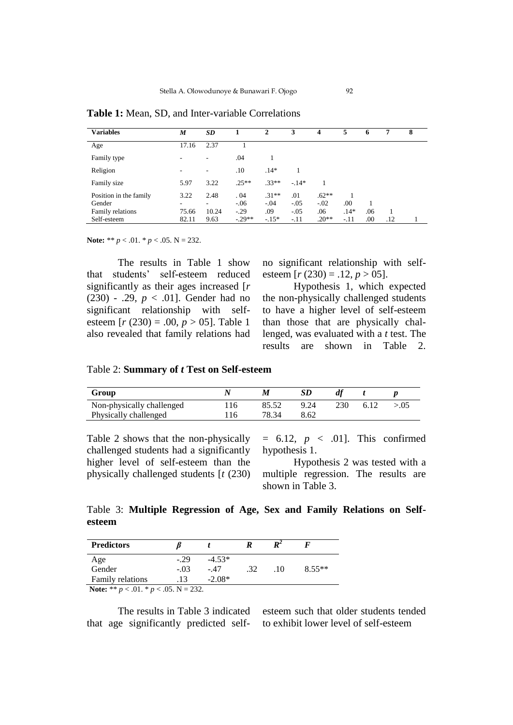| <b>Variables</b>                 | M          | SD        |               | 2                 | 3             | 4                 | 5      | O   |     | 8 |  |
|----------------------------------|------------|-----------|---------------|-------------------|---------------|-------------------|--------|-----|-----|---|--|
| Age                              | 17.16      | 2.37      |               |                   |               |                   |        |     |     |   |  |
| Family type                      |            | ٠         | .04           |                   |               |                   |        |     |     |   |  |
| Religion                         |            | ٠         | .10           | $.14*$            |               |                   |        |     |     |   |  |
| Family size                      | 5.97       | 3.22      | $.25**$       | $.33**$           | $-.14*$       |                   |        |     |     |   |  |
| Position in the family<br>Gender | 3.22<br>۰. | 2.48<br>۰ | .04<br>$-.06$ | $.31**$<br>$-.04$ | .01<br>$-.05$ | $.62**$<br>$-.02$ | .00    |     |     |   |  |
| Family relations                 | 75.66      | 10.24     | $-.29$        | .09               | $-.05$        | .06               | $.14*$ | .06 |     |   |  |
| Self-esteem                      | 82.11      | 9.63      | $-.29**$      | $-.15*$           | $-.11$        | $.20**$           | $-.11$ | .00 | .12 |   |  |

**Table 1:** Mean, SD, and Inter-variable Correlations

**Note:** \*\* *p* < .01. \* *p* < .05. N = 232.

The results in Table 1 show that students' self-esteem reduced significantly as their ages increased [*r*  (230) - .29, *p* < .01]. Gender had no significant relationship with selfesteem [*r* (230) = .00, *p* > 05]. Table 1 also revealed that family relations had

no significant relationship with selfesteem  $[r (230) = .12, p > 05]$ .

Hypothesis 1, which expected the non-physically challenged students to have a higher level of self-esteem than those that are physically challenged, was evaluated with a *t* test. The results are shown in Table 2.

Table 2: **Summary of** *t* **Test on Self-esteem**

| Group                     |     | M     |      |     |  |
|---------------------------|-----|-------|------|-----|--|
| Non-physically challenged | 116 |       | 9.24 | 230 |  |
| Physically challenged     | 116 | 78 34 | 8.62 |     |  |

Table 2 shows that the non-physically challenged students had a significantly higher level of self-esteem than the physically challenged students [*t* (230)

 $= 6.12, p < .01$ ]. This confirmed hypothesis 1.

Hypothesis 2 was tested with a multiple regression. The results are shown in Table 3.

Table 3: **Multiple Regression of Age, Sex and Family Relations on Selfesteem**

| <b>Predictors</b>                                                                                                                                                                                                                                                                                                     |        |          |     | D4  |          |
|-----------------------------------------------------------------------------------------------------------------------------------------------------------------------------------------------------------------------------------------------------------------------------------------------------------------------|--------|----------|-----|-----|----------|
|                                                                                                                                                                                                                                                                                                                       | $-.29$ | $-4.53*$ |     |     |          |
| Age<br>Gender                                                                                                                                                                                                                                                                                                         | $-.03$ | - 47     | .32 | .10 | $8.55**$ |
| Family relations                                                                                                                                                                                                                                                                                                      |        | $-2.08*$ |     |     |          |
| Motor $\frac{1}{2}$ $\frac{1}{2}$ $\frac{1}{2}$ $\frac{1}{2}$ $\frac{1}{2}$ $\frac{1}{2}$ $\frac{1}{2}$ $\frac{1}{2}$ $\frac{1}{2}$ $\frac{1}{2}$ $\frac{1}{2}$ $\frac{1}{2}$ $\frac{1}{2}$ $\frac{1}{2}$ $\frac{1}{2}$ $\frac{1}{2}$ $\frac{1}{2}$ $\frac{1}{2}$ $\frac{1}{2}$ $\frac{1}{2}$ $\frac{1}{2}$ $\frac{1$ |        |          |     |     |          |

**Note:** \*\*  $p < .01$ . \*  $p < .05$ . N = 232.

The results in Table 3 indicated that age significantly predicted selfesteem such that older students tended to exhibit lower level of self-esteem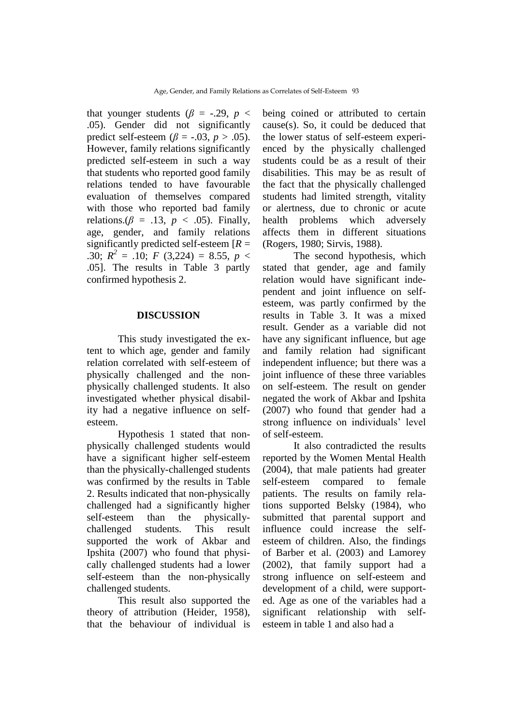that younger students ( $\beta$  = -.29,  $p$  < .05). Gender did not significantly predict self-esteem ( $\beta$  = -.03, *p* > .05). However, family relations significantly predicted self-esteem in such a way that students who reported good family relations tended to have favourable evaluation of themselves compared with those who reported bad family relations.( $\beta$  = .13,  $p$  < .05). Finally, age, gender, and family relations significantly predicted self-esteem [*R* = .30;  $R^2 = .10$ ; *F* (3,224) = 8.55, *p* < .05]. The results in Table 3 partly confirmed hypothesis 2.

### **DISCUSSION**

This study investigated the extent to which age, gender and family relation correlated with self-esteem of physically challenged and the nonphysically challenged students. It also investigated whether physical disability had a negative influence on selfesteem.

Hypothesis 1 stated that nonphysically challenged students would have a significant higher self-esteem than the physically-challenged students was confirmed by the results in Table 2. Results indicated that non-physically challenged had a significantly higher self-esteem than the physicallychallenged students. This result supported the work of Akbar and Ipshita (2007) who found that physically challenged students had a lower self-esteem than the non-physically challenged students.

This result also supported the theory of attribution (Heider, 1958), that the behaviour of individual is

being coined or attributed to certain cause(s). So, it could be deduced that the lower status of self-esteem experienced by the physically challenged students could be as a result of their disabilities. This may be as result of the fact that the physically challenged students had limited strength, vitality or alertness, due to chronic or acute health problems which adversely affects them in different situations (Rogers, 1980; Sirvis, 1988).

The second hypothesis, which stated that gender, age and family relation would have significant independent and joint influence on selfesteem, was partly confirmed by the results in Table 3. It was a mixed result. Gender as a variable did not have any significant influence, but age and family relation had significant independent influence; but there was a joint influence of these three variables on self-esteem. The result on gender negated the work of Akbar and Ipshita (2007) who found that gender had a strong influence on individuals' level of self-esteem.

It also contradicted the results reported by the Women Mental Health (2004), that male patients had greater self-esteem compared to female patients. The results on family relations supported Belsky (1984), who submitted that parental support and influence could increase the selfesteem of children. Also, the findings of Barber et al. (2003) and Lamorey (2002), that family support had a strong influence on self-esteem and development of a child, were supported. Age as one of the variables had a significant relationship with selfesteem in table 1 and also had a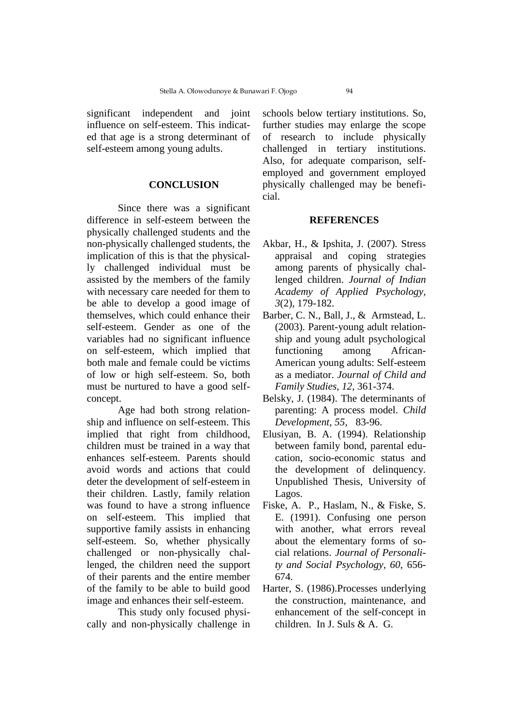significant independent and joint influence on self-esteem. This indicated that age is a strong determinant of self-esteem among young adults.

## **CONCLUSION**

Since there was a significant difference in self-esteem between the physically challenged students and the non-physically challenged students, the implication of this is that the physically challenged individual must be assisted by the members of the family with necessary care needed for them to be able to develop a good image of themselves, which could enhance their self-esteem. Gender as one of the variables had no significant influence on self-esteem, which implied that both male and female could be victims of low or high self-esteem. So, both must be nurtured to have a good selfconcept.

Age had both strong relationship and influence on self-esteem. This implied that right from childhood, children must be trained in a way that enhances self-esteem. Parents should avoid words and actions that could deter the development of self-esteem in their children. Lastly, family relation was found to have a strong influence on self-esteem. This implied that supportive family assists in enhancing self-esteem. So, whether physically challenged or non-physically challenged, the children need the support of their parents and the entire member of the family to be able to build good image and enhances their self-esteem.

This study only focused physically and non-physically challenge in schools below tertiary institutions. So, further studies may enlarge the scope of research to include physically challenged in tertiary institutions. Also, for adequate comparison, selfemployed and government employed physically challenged may be beneficial.

### **REFERENCES**

- Akbar, H., & Ipshita, J. (2007). Stress appraisal and coping strategies among parents of physically challenged children. *Journal of Indian Academy of Applied Psychology, 3*(2), 179-182.
- Barber, C. N., Ball, J., & Armstead, L. (2003). Parent-young adult relationship and young adult psychological functioning among African-American young adults: Self-esteem as a mediator. *Journal of Child and Family Studies, 12,* 361-374.
- Belsky, J. (1984). The determinants of parenting: A process model. *Child Development, 55,* 83-96.
- Elusiyan, B. A. (1994). Relationship between family bond, parental education, socio-economic status and the development of delinquency*.*  Unpublished Thesis, University of Lagos.
- Fiske, A. P., Haslam, N., & Fiske, S. E. (1991). Confusing one person with another, what errors reveal about the elementary forms of social relations. *Journal of Personality and Social Psychology, 60,* 656- 674*.*
- Harter, S. (1986).Processes underlying the construction, maintenance, and enhancement of the self-concept in children. In J. Suls & A. G.